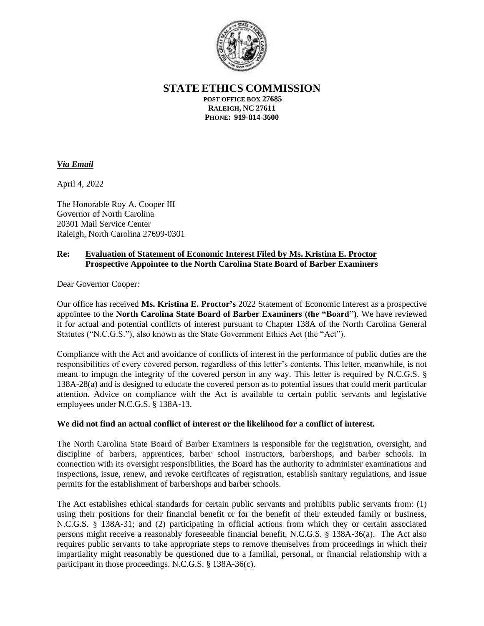

**STATE ETHICS COMMISSION**

**POST OFFICE BOX 27685 RALEIGH, NC 27611 PHONE: 919-814-3600**

## *Via Email*

April 4, 2022

The Honorable Roy A. Cooper III Governor of North Carolina 20301 Mail Service Center Raleigh, North Carolina 27699-0301

## **Re: Evaluation of Statement of Economic Interest Filed by Ms. Kristina E. Proctor Prospective Appointee to the North Carolina State Board of Barber Examiners**

Dear Governor Cooper:

Our office has received **Ms. Kristina E. Proctor's** 2022 Statement of Economic Interest as a prospective appointee to the **North Carolina State Board of Barber Examiners (the "Board")**. We have reviewed it for actual and potential conflicts of interest pursuant to Chapter 138A of the North Carolina General Statutes ("N.C.G.S."), also known as the State Government Ethics Act (the "Act").

Compliance with the Act and avoidance of conflicts of interest in the performance of public duties are the responsibilities of every covered person, regardless of this letter's contents. This letter, meanwhile, is not meant to impugn the integrity of the covered person in any way. This letter is required by N.C.G.S. § 138A-28(a) and is designed to educate the covered person as to potential issues that could merit particular attention. Advice on compliance with the Act is available to certain public servants and legislative employees under N.C.G.S. § 138A-13.

## **We did not find an actual conflict of interest or the likelihood for a conflict of interest.**

The North Carolina State Board of Barber Examiners is responsible for the registration, oversight, and discipline of barbers, apprentices, barber school instructors, barbershops, and barber schools. In connection with its oversight responsibilities, the Board has the authority to administer examinations and inspections, issue, renew, and revoke certificates of registration, establish sanitary regulations, and issue permits for the establishment of barbershops and barber schools.

The Act establishes ethical standards for certain public servants and prohibits public servants from: (1) using their positions for their financial benefit or for the benefit of their extended family or business, N.C.G.S. § 138A-31; and (2) participating in official actions from which they or certain associated persons might receive a reasonably foreseeable financial benefit, N.C.G.S. § 138A-36(a). The Act also requires public servants to take appropriate steps to remove themselves from proceedings in which their impartiality might reasonably be questioned due to a familial, personal, or financial relationship with a participant in those proceedings. N.C.G.S. § 138A-36(c).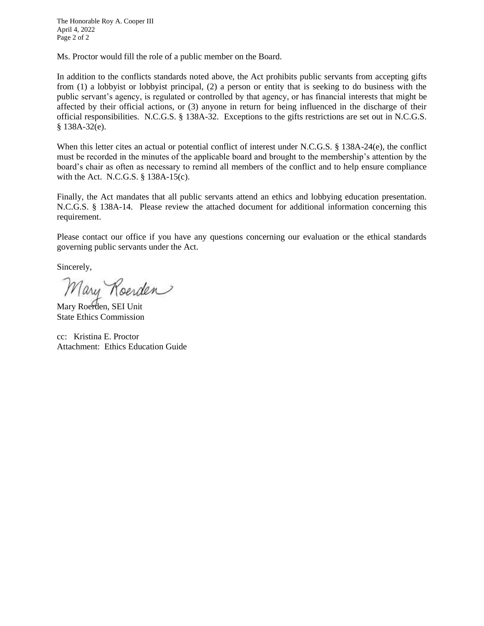The Honorable Roy A. Cooper III April 4, 2022 Page 2 of 2

Ms. Proctor would fill the role of a public member on the Board.

In addition to the conflicts standards noted above, the Act prohibits public servants from accepting gifts from (1) a lobbyist or lobbyist principal, (2) a person or entity that is seeking to do business with the public servant's agency, is regulated or controlled by that agency, or has financial interests that might be affected by their official actions, or (3) anyone in return for being influenced in the discharge of their official responsibilities. N.C.G.S. § 138A-32. Exceptions to the gifts restrictions are set out in N.C.G.S. § 138A-32(e).

When this letter cites an actual or potential conflict of interest under N.C.G.S. § 138A-24(e), the conflict must be recorded in the minutes of the applicable board and brought to the membership's attention by the board's chair as often as necessary to remind all members of the conflict and to help ensure compliance with the Act. N.C.G.S. § 138A-15(c).

Finally, the Act mandates that all public servants attend an ethics and lobbying education presentation. N.C.G.S. § 138A-14. Please review the attached document for additional information concerning this requirement.

Please contact our office if you have any questions concerning our evaluation or the ethical standards governing public servants under the Act.

Sincerely,

Mary Roerden

Mary Roerden, SEI Unit State Ethics Commission

cc: Kristina E. Proctor Attachment: Ethics Education Guide